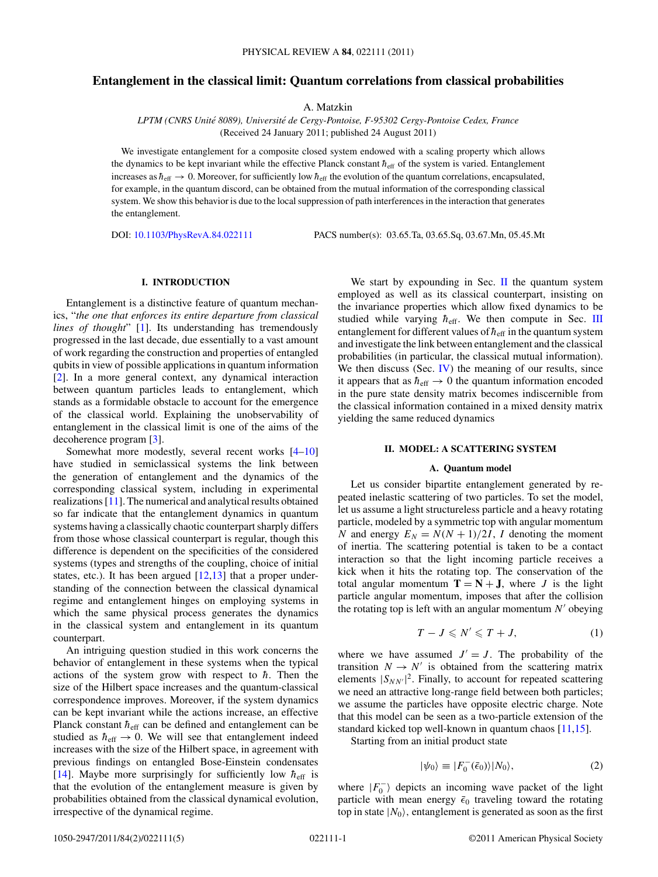# <span id="page-0-0"></span>**Entanglement in the classical limit: Quantum correlations from classical probabilities**

A. Matzkin

*LPTM (CNRS Unite 8089), Universit ´ e de Cergy-Pontoise, F-95302 Cergy-Pontoise Cedex, France ´* (Received 24 January 2011; published 24 August 2011)

We investigate entanglement for a composite closed system endowed with a scaling property which allows the dynamics to be kept invariant while the effective Planck constant  $h_{\text{eff}}$  of the system is varied. Entanglement increases as  $\hbar_{\text{eff}} \to 0$ . Moreover, for sufficiently low  $\hbar_{\text{eff}}$  the evolution of the quantum correlations, encapsulated, for example, in the quantum discord, can be obtained from the mutual information of the corresponding classical system. We show this behavior is due to the local suppression of path interferences in the interaction that generates the entanglement.

DOI: [10.1103/PhysRevA.84.022111](http://dx.doi.org/10.1103/PhysRevA.84.022111) PACS number(s): 03*.*65*.*Ta, 03*.*65*.*Sq, 03*.*67*.*Mn, 05*.*45*.*Mt

# **I. INTRODUCTION**

Entanglement is a distinctive feature of quantum mechanics, "*the one that enforces its entire departure from classical lines of thought*" [\[1\]](#page-4-0). Its understanding has tremendously progressed in the last decade, due essentially to a vast amount of work regarding the construction and properties of entangled qubits in view of possible applications in quantum information [\[2\]](#page-4-0). In a more general context, any dynamical interaction between quantum particles leads to entanglement, which stands as a formidable obstacle to account for the emergence of the classical world. Explaining the unobservability of entanglement in the classical limit is one of the aims of the decoherence program [\[3\]](#page-4-0).

Somewhat more modestly, several recent works [\[4–10\]](#page-4-0) have studied in semiclassical systems the link between the generation of entanglement and the dynamics of the corresponding classical system, including in experimental realizations [\[11\]](#page-4-0). The numerical and analytical results obtained so far indicate that the entanglement dynamics in quantum systems having a classically chaotic counterpart sharply differs from those whose classical counterpart is regular, though this difference is dependent on the specificities of the considered systems (types and strengths of the coupling, choice of initial states, etc.). It has been argued [\[12,13\]](#page-4-0) that a proper understanding of the connection between the classical dynamical regime and entanglement hinges on employing systems in which the same physical process generates the dynamics in the classical system and entanglement in its quantum counterpart.

An intriguing question studied in this work concerns the behavior of entanglement in these systems when the typical actions of the system grow with respect to  $\hbar$ . Then the size of the Hilbert space increases and the quantum-classical correspondence improves. Moreover, if the system dynamics can be kept invariant while the actions increase, an effective Planck constant  $h_{\text{eff}}$  can be defined and entanglement can be studied as  $h_{\text{eff}} \rightarrow 0$ . We will see that entanglement indeed increases with the size of the Hilbert space, in agreement with previous findings on entangled Bose-Einstein condensates [\[14\]](#page-4-0). Maybe more surprisingly for sufficiently low  $h_{\text{eff}}$  is that the evolution of the entanglement measure is given by probabilities obtained from the classical dynamical evolution, irrespective of the dynamical regime.

We start by expounding in Sec.  $\Pi$  the quantum system employed as well as its classical counterpart, insisting on the invariance properties which allow fixed dynamics to be studied while varying  $h_{\text{eff}}$ . We then compute in Sec. [III](#page-2-0) entanglement for different values of  $h_{\text{eff}}$  in the quantum system and investigate the link between entanglement and the classical probabilities (in particular, the classical mutual information). We then discuss (Sec.  $IV$ ) the meaning of our results, since it appears that as  $h_{\text{eff}} \rightarrow 0$  the quantum information encoded in the pure state density matrix becomes indiscernible from the classical information contained in a mixed density matrix yielding the same reduced dynamics

#### **II. MODEL: A SCATTERING SYSTEM**

#### **A. Quantum model**

Let us consider bipartite entanglement generated by repeated inelastic scattering of two particles. To set the model, let us assume a light structureless particle and a heavy rotating particle, modeled by a symmetric top with angular momentum *N* and energy  $E_N = N(N + 1)/2I$ , *I* denoting the moment of inertia. The scattering potential is taken to be a contact interaction so that the light incoming particle receives a kick when it hits the rotating top. The conservation of the total angular momentum  $T = N + J$ , where *J* is the light particle angular momentum, imposes that after the collision the rotating top is left with an angular momentum  $N'$  obeying

$$
T - J \leqslant N' \leqslant T + J,\tag{1}
$$

where we have assumed  $J' = J$ . The probability of the transition  $N \rightarrow N'$  is obtained from the scattering matrix elements  $|S_{NN'}|^2$ . Finally, to account for repeated scattering we need an attractive long-range field between both particles; we assume the particles have opposite electric charge. Note that this model can be seen as a two-particle extension of the standard kicked top well-known in quantum chaos [\[11,15\]](#page-4-0).

Starting from an initial product state

$$
|\psi_0\rangle \equiv |F_0^-(\bar{\epsilon}_0)\rangle|N_0\rangle,\tag{2}
$$

where  $|F_0^{-}\rangle$  depicts an incoming wave packet of the light particle with mean energy  $\bar{\epsilon}_0$  traveling toward the rotating top in state  $|N_0\rangle$ , entanglement is generated as soon as the first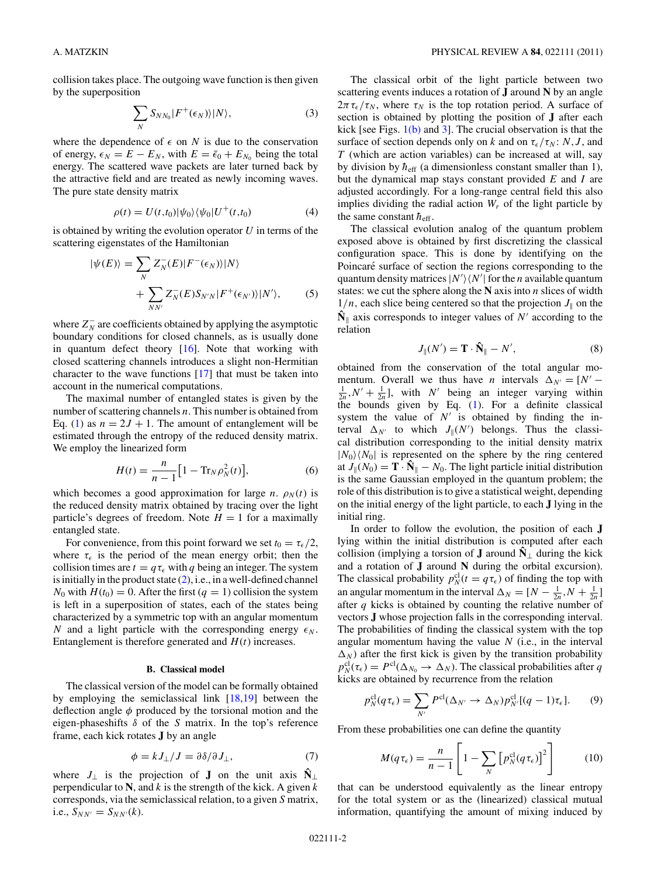<span id="page-1-0"></span>collision takes place. The outgoing wave function is then given by the superposition

$$
\sum_{N} S_{NN_0} |F^+(\epsilon_N)\rangle |N\rangle, \tag{3}
$$

where the dependence of  $\epsilon$  on *N* is due to the conservation of energy,  $\epsilon_N = E - E_N$ , with  $E = \bar{\epsilon}_0 + E_{N_0}$  being the total energy. The scattered wave packets are later turned back by the attractive field and are treated as newly incoming waves. The pure state density matrix

$$
\rho(t) = U(t,t_0)|\psi_0\rangle\langle\psi_0|U^+(t,t_0)
$$
\n(4)

is obtained by writing the evolution operator *U* in terms of the scattering eigenstates of the Hamiltonian

$$
|\psi(E)\rangle = \sum_{N} Z_{N}^{-}(E)|F^{-}(\epsilon_{N})\rangle|N\rangle + \sum_{NN'} Z_{N}^{-}(E)S_{N'N}|F^{+}(\epsilon_{N'})\rangle|N'\rangle, \qquad (5)
$$

where  $Z_N^-$  are coefficients obtained by applying the asymptotic boundary conditions for closed channels, as is usually done in quantum defect theory [\[16\]](#page-4-0). Note that working with closed scattering channels introduces a slight non-Hermitian character to the wave functions [\[17\]](#page-4-0) that must be taken into account in the numerical computations.

The maximal number of entangled states is given by the number of scattering channels *n*. This number is obtained from Eq. [\(1\)](#page-0-0) as  $n = 2J + 1$ . The amount of entanglement will be estimated through the entropy of the reduced density matrix. We employ the linearized form

$$
H(t) = \frac{n}{n-1} \big[ 1 - \text{Tr}_N \rho_N^2(t) \big],\tag{6}
$$

which becomes a good approximation for large *n*.  $\rho_N(t)$  is the reduced density matrix obtained by tracing over the light particle's degrees of freedom. Note  $H = 1$  for a maximally entangled state.

For convenience, from this point forward we set  $t_0 = \tau_{\epsilon}/2$ , where  $\tau_{\epsilon}$  is the period of the mean energy orbit; then the collision times are  $t = q\tau_{\epsilon}$  with *q* being an integer. The system is initially in the product state [\(2\)](#page-0-0), i.e., in a well-defined channel  $N_0$  with  $H(t_0) = 0$ . After the first  $(q = 1)$  collision the system is left in a superposition of states, each of the states being characterized by a symmetric top with an angular momentum *N* and a light particle with the corresponding energy  $\epsilon_N$ . Entanglement is therefore generated and *H*(*t*) increases.

## **B. Classical model**

The classical version of the model can be formally obtained by employing the semiclassical link [\[18,19\]](#page-4-0) between the deflection angle *φ* produced by the torsional motion and the eigen-phaseshifts *δ* of the *S* matrix. In the top's reference frame, each kick rotates **J** by an angle

$$
\phi = kJ_{\perp}/J = \partial \delta/\partial J_{\perp},\tag{7}
$$

where  $J_{\perp}$  is the projection of **J** on the unit axis  $\hat{N}_{\perp}$ perpendicular to **N**, and *k* is the strength of the kick. A given *k* corresponds, via the semiclassical relation, to a given *S* matrix, i.e.,  $S_{NN'} = S_{NN'}(k)$ .

The classical orbit of the light particle between two scattering events induces a rotation of **J** around **N** by an angle  $2\pi\tau_{\epsilon}/\tau_{N}$ , where  $\tau_{N}$  is the top rotation period. A surface of section is obtained by plotting the position of **J** after each kick [see Figs.  $1(b)$  and [3\]](#page-3-0). The crucial observation is that the surface of section depends only on *k* and on  $\tau_{\epsilon}/\tau_{N}$ : *N*, *J*, and *T* (which are action variables) can be increased at will, say by division by  $h_{\text{eff}}$  (a dimensionless constant smaller than 1), but the dynamical map stays constant provided *E* and *I* are adjusted accordingly. For a long-range central field this also implies dividing the radial action  $W_r$  of the light particle by the same constant  $\hbar_{\text{eff}}$ .

The classical evolution analog of the quantum problem exposed above is obtained by first discretizing the classical configuration space. This is done by identifying on the Poincaré surface of section the regions corresponding to the quantum density matrices  $|N'\rangle\langle N'|$  for the *n* available quantum states: we cut the sphere along the **N** axis into *n* slices of width  $1/n$ , each slice being centered so that the projection  $J_{\parallel}$  on the  $\hat{\mathbf{N}}_{\parallel}$  axis corresponds to integer values of *N'* according to the relation

$$
J_{\parallel}(N') = \mathbf{T} \cdot \hat{\mathbf{N}}_{\parallel} - N', \tag{8}
$$

obtained from the conservation of the total angular momentum. Overall we thus have *n* intervals  $\Delta_{N'} = [N' - 1] N' + 1$  with *N'* being an integer varying within  $\frac{1}{2n}$ ,  $N' + \frac{1}{2n}$ , with *N'* being an integer varying within the bounds given by Eq.  $(1)$ . For a definite classical system the value of  $N'$  is obtained by finding the interval  $\Delta_{N'}$  to which  $J_{\parallel}(N')$  belongs. Thus the classical distribution corresponding to the initial density matrix  $|N_0\rangle\langle N_0|$  is represented on the sphere by the ring centered at  $J_{\parallel}(N_0) = \mathbf{T} \cdot \mathbf{\hat{N}}_{\parallel} - N_0$ . The light particle initial distribution is the same Gaussian employed in the quantum problem; the role of this distribution is to give a statistical weight, depending on the initial energy of the light particle, to each **J** lying in the initial ring.

In order to follow the evolution, the position of each **J** lying within the initial distribution is computed after each collision (implying a torsion of **J** around  $\hat{N}_\perp$  during the kick and a rotation of **J** around **N** during the orbital excursion). The classical probability  $p_N^{\text{cl}}(t) = q \tau_{\epsilon}$  of finding the top with an angular momentum in the interval  $\Delta_N = [N - \frac{1}{2n}, N + \frac{1}{2n}]$ after *q* kicks is obtained by counting the relative number of vectors **J** whose projection falls in the corresponding interval. The probabilities of finding the classical system with the top angular momentum having the value *N* (i.e., in the interval  $\Delta_N$ ) after the first kick is given by the transition probability  $p_N^{\text{cl}}(\tau_{\epsilon}) = P^{\text{cl}}(\Delta_{N_0} \to \Delta_N)$ . The classical probabilities after *q* kicks are obtained by recurrence from the relation

$$
p_N^{\text{cl}}(q\tau_\epsilon) = \sum_{N'} P^{\text{cl}}(\Delta_{N'} \to \Delta_N) p_{N'}^{\text{cl}}[(q-1)\tau_\epsilon]. \tag{9}
$$

From these probabilities one can define the quantity

$$
M(q\tau_{\epsilon}) = \frac{n}{n-1} \left[ 1 - \sum_{N} \left[ p_N^{\text{cl}}(q\tau_{\epsilon}) \right]^2 \right] \tag{10}
$$

that can be understood equivalently as the linear entropy for the total system or as the (linearized) classical mutual information, quantifying the amount of mixing induced by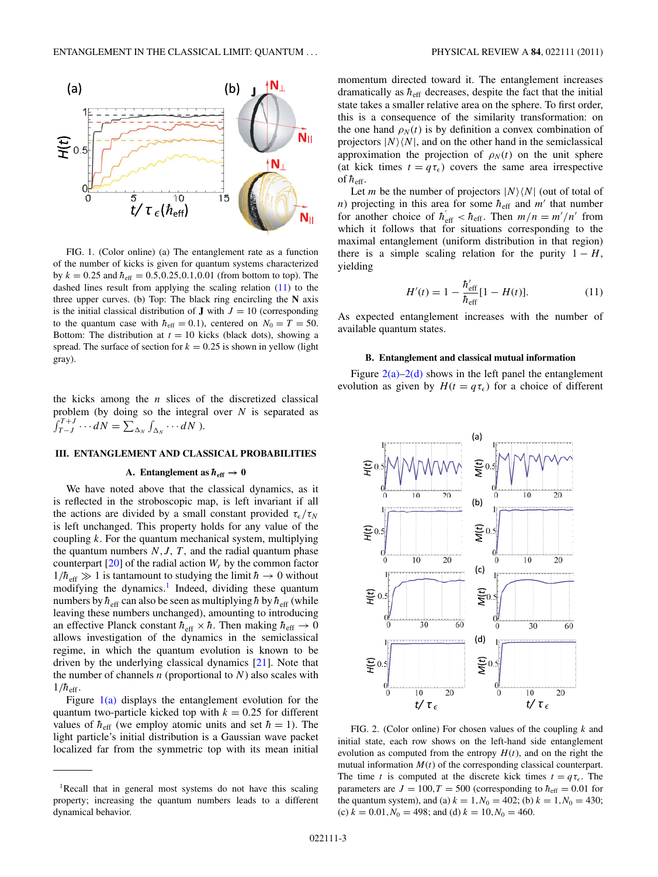<span id="page-2-0"></span>

FIG. 1. (Color online) (a) The entanglement rate as a function of the number of kicks is given for quantum systems characterized  $b$ y  $k = 0.25$  and  $\hbar_{eff} = 0.5, 0.25, 0.1, 0.01$  (from bottom to top). The dashed lines result from applying the scaling relation (11) to the three upper curves. (b) Top: The black ring encircling the **N** axis is the initial classical distribution of **J** with  $J = 10$  (corresponding to the quantum case with  $h_{\text{eff}} = 0.1$ ), centered on  $N_0 = T = 50$ . Bottom: The distribution at  $t = 10$  kicks (black dots), showing a spread. The surface of section for  $k = 0.25$  is shown in yellow (light gray).

the kicks among the *n* slices of the discretized classical problem (by doing so the integral over *N* is separated as  $\int_{T-J}^{T+J} \cdots dN = \sum_{\Delta_N} \int_{\Delta_N} \cdots dN$ ).

# **III. ENTANGLEMENT AND CLASSICAL PROBABILITIES**

### **A.** Entanglement as  $h_{\text{eff}} \rightarrow 0$

We have noted above that the classical dynamics, as it is reflected in the stroboscopic map, is left invariant if all the actions are divided by a small constant provided  $\tau_{\epsilon}/\tau_{N}$ is left unchanged. This property holds for any value of the coupling *k*. For the quantum mechanical system, multiplying the quantum numbers  $N, J, T$ , and the radial quantum phase counterpart  $[20]$  of the radial action  $W_r$  by the common factor  $1/\hbar_{\text{eff}} \gg 1$  is tantamount to studying the limit  $\hbar \rightarrow 0$  without modifying the dynamics.<sup>1</sup> Indeed, dividing these quantum numbers by  $h_{\text{eff}}$  can also be seen as multiplying h by  $h_{\text{eff}}$  (while leaving these numbers unchanged), amounting to introducing an effective Planck constant  $\hbar_{\text{eff}} \times \hbar$ . Then making  $\hbar_{\text{eff}} \to 0$ allows investigation of the dynamics in the semiclassical regime, in which the quantum evolution is known to be driven by the underlying classical dynamics [\[21\]](#page-4-0). Note that the number of channels *n* (proportional to *N*) also scales with  $1/h_{\text{eff}}$ .

Figure  $1(a)$  displays the entanglement evolution for the quantum two-particle kicked top with  $k = 0.25$  for different values of  $h_{\text{eff}}$  (we employ atomic units and set  $\hbar = 1$ ). The light particle's initial distribution is a Gaussian wave packet localized far from the symmetric top with its mean initial

momentum directed toward it. The entanglement increases dramatically as  $h_{\text{eff}}$  decreases, despite the fact that the initial state takes a smaller relative area on the sphere. To first order, this is a consequence of the similarity transformation: on the one hand  $\rho_N(t)$  is by definition a convex combination of projectors  $|N\rangle\langle N|$ , and on the other hand in the semiclassical approximation the projection of  $\rho_N(t)$  on the unit sphere (at kick times  $t = q\tau_{\epsilon}$ ) covers the same area irrespective of  $h_{\text{eff}}$ .

Let *m* be the number of projectors  $|N\rangle\langle N|$  (out of total of *n*) projecting in this area for some  $h_{\text{eff}}$  and  $m'$  that number for another choice of  $h_{\text{eff}}' < h_{\text{eff}}$ . Then  $m/n = m'/n'$  from which it follows that for situations corresponding to the maximal entanglement (uniform distribution in that region) there is a simple scaling relation for the purity  $1 - H$ , yielding

$$
H'(t) = 1 - \frac{\hbar_{\text{eff}}'}{\hbar_{\text{eff}}} [1 - H(t)].
$$
 (11)

As expected entanglement increases with the number of available quantum states.

#### **B. Entanglement and classical mutual information**

Figure  $2(a)-2(d)$  shows in the left panel the entanglement evolution as given by  $H(t = q\tau_{\epsilon})$  for a choice of different



FIG. 2. (Color online) For chosen values of the coupling *k* and initial state, each row shows on the left-hand side entanglement evolution as computed from the entropy  $H(t)$ , and on the right the mutual information  $M(t)$  of the corresponding classical counterpart. The time *t* is computed at the discrete kick times  $t = q\tau_{\epsilon}$ . The parameters are  $J = 100, T = 500$  (corresponding to  $h_{\text{eff}} = 0.01$  for the quantum system), and (a)  $k = 1, N_0 = 402$ ; (b)  $k = 1, N_0 = 430$ ; (c)  $k = 0.01, N_0 = 498$ ; and (d)  $k = 10, N_0 = 460$ .

<sup>&</sup>lt;sup>1</sup>Recall that in general most systems do not have this scaling property; increasing the quantum numbers leads to a different dynamical behavior.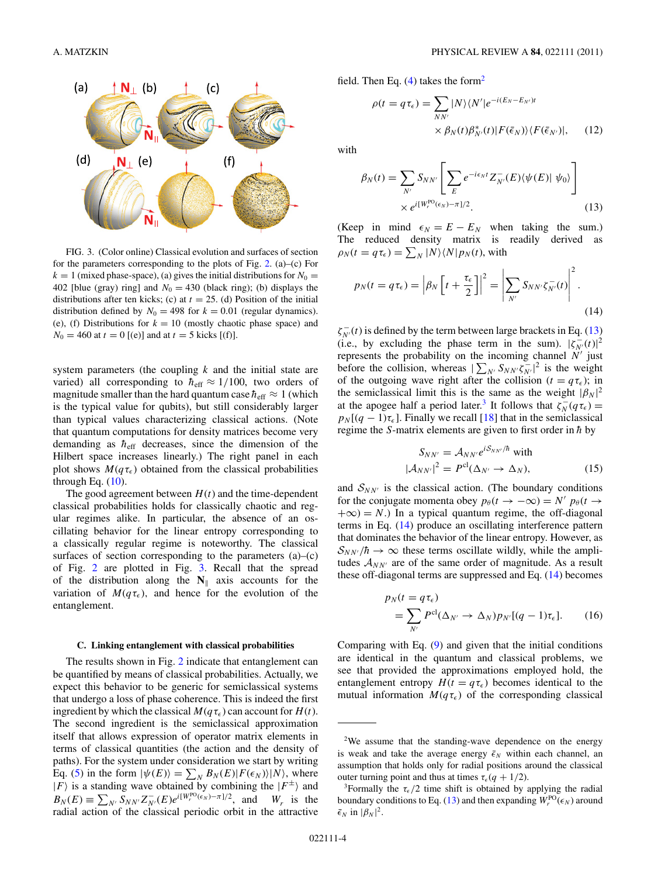<span id="page-3-0"></span> $(a)$ 

 $(d)$ 

 $\mathbf{N}_\perp$  (b)

 $N_{\perp}$  (e)

$$
\rho(t = q \tau_{\epsilon}) = \sum_{NN'} |N\rangle \langle N'|e^{-i(E_N - E_{N'})t}
$$

$$
\times \beta_N(t)\beta_N^*(t)|F(\bar{\epsilon}_N)\rangle \langle F(\bar{\epsilon}_{N'})|, \qquad (12)
$$

with

$$
\beta_N(t) = \sum_{N'} S_{NN'} \left[ \sum_E e^{-i\epsilon_N t} Z_{N'}^-(E) \langle \psi(E) | \psi_0 \rangle \right]
$$
  
 
$$
\times e^{i[W_r^{\text{PO}}(\epsilon_N) - \pi]/2}.
$$
 (13)

(Keep in mind  $\epsilon_N = E - E_N$  when taking the sum.) The reduced density matrix is readily derived as  $\rho_N(t = q \tau_{\epsilon}) = \sum_N |N\rangle \langle N| p_N(t)$ , with

$$
p_N(t = q\tau_{\epsilon}) = \left|\beta_N \left[t + \frac{\tau_{\epsilon}}{2}\right]\right|^2 = \left|\sum_{N'} S_{NN'} \zeta_{N'}^{-}(t)\right|^2.
$$
\n(14)

 $\zeta_{N'}^-(t)$  is defined by the term between large brackets in Eq. (13) (i.e., by excluding the phase term in the sum).  $|\zeta_{N'}(t)|^2$ represents the probability on the incoming channel  $N'$  just before the collision, whereas  $|\sum_{N'} S_{NN'} \zeta_{N'}^{-}|^2$  is the weight of the outgoing wave right after the collision ( $t = q\tau_{\epsilon}$ ); in the semiclassical limit this is the same as the weight  $|\beta_N|^2$ at the apogee half a period later.<sup>3</sup> It follows that  $\zeta_N^-(q\tau_\epsilon) =$  $p_N$ [ $(q - 1)\tau_{\epsilon}$ ]. Finally we recall [\[18\]](#page-4-0) that in the semiclassical regime the *S*-matrix elements are given to first order in  $\hbar$  by

$$
S_{NN'} = A_{NN'} e^{iS_{NN'}/\hbar} \text{ with}
$$
  

$$
|A_{NN'}|^2 = P^{\text{cl}}(\Delta_{N'} \to \Delta_N),
$$
 (15)

and  $S_{NN'}$  is the classical action. (The boundary conditions for the conjugate momenta obey  $p_{\theta}(t \rightarrow -\infty) = N' p_{\theta}(t \rightarrow$  $+\infty$ ) = *N*.) In a typical quantum regime, the off-diagonal terms in Eq. (14) produce an oscillating interference pattern that dominates the behavior of the linear entropy. However, as  $S_{NN'}/\hbar \rightarrow \infty$  these terms oscillate wildly, while the amplitudes  $A_{NN'}$  are of the same order of magnitude. As a result these off-diagonal terms are suppressed and Eq. (14) becomes

$$
p_N(t = q\tau_{\epsilon})
$$
  
=  $\sum_{N'} P^{\text{cl}}(\Delta_{N'} \to \Delta_N) p_{N'}[(q-1)\tau_{\epsilon}].$  (16)

Comparing with Eq. [\(9\)](#page-1-0) and given that the initial conditions are identical in the quantum and classical problems, we see that provided the approximations employed hold, the entanglement entropy  $H(t = q\tau_{\epsilon})$  becomes identical to the mutual information  $M(q\tau_{\epsilon})$  of the corresponding classical



(c)

 $(f)$ 

system parameters (the coupling *k* and the initial state are varied) all corresponding to  $h_{\text{eff}} \approx 1/100$ , two orders of magnitude smaller than the hard quantum case  $h_{\text{eff}} \approx 1$  (which is the typical value for qubits), but still considerably larger than typical values characterizing classical actions. (Note that quantum computations for density matrices become very demanding as  $h_{\text{eff}}$  decreases, since the dimension of the Hilbert space increases linearly.) The right panel in each plot shows  $M(q\tau_{\epsilon})$  obtained from the classical probabilities through Eq.  $(10)$ .

The good agreement between  $H(t)$  and the time-dependent classical probabilities holds for classically chaotic and regular regimes alike. In particular, the absence of an oscillating behavior for the linear entropy corresponding to a classically regular regime is noteworthy. The classical surfaces of section corresponding to the parameters (a)–(c) of Fig. [2](#page-2-0) are plotted in Fig. 3. Recall that the spread of the distribution along the  $N_{\parallel}$  axis accounts for the variation of  $M(q\tau_{\epsilon})$ , and hence for the evolution of the entanglement.

## **C. Linking entanglement with classical probabilities**

The results shown in Fig. [2](#page-2-0) indicate that entanglement can be quantified by means of classical probabilities. Actually, we expect this behavior to be generic for semiclassical systems that undergo a loss of phase coherence. This is indeed the first ingredient by which the classical  $M(q\tau_{\epsilon})$  can account for  $H(t)$ . The second ingredient is the semiclassical approximation itself that allows expression of operator matrix elements in terms of classical quantities (the action and the density of paths). For the system under consideration we start by writing Eq. [\(5\)](#page-1-0) in the form  $|\psi(E)\rangle = \sum_{N} B_{N}(E) |F(\epsilon_{N})\rangle |N\rangle$ , where  $|F\rangle$  is a standing wave obtained by combining the  $|F^{\pm}\rangle$  and  $B_N(E) \equiv \sum_{N'} S_{NN'} Z_N^-(E) e^{i[W_r^{\text{PO}}(\epsilon_N) - \pi]/2}$ , and  $W_r$  is the radial action of the classical periodic orbit in the attractive

<sup>&</sup>lt;sup>2</sup>We assume that the standing-wave dependence on the energy is weak and take the average energy  $\bar{\epsilon}_N$  within each channel, an assumption that holds only for radial positions around the classical outer turning point and thus at times  $\tau_{\epsilon}(q + 1/2)$ .<br><sup>3</sup>Formally the  $\tau_{\epsilon}/2$  time shift is obtained by applying the radial

boundary conditions to Eq. (13) and then expanding  $W_r^{PO}(\epsilon_N)$  around  $\bar{\epsilon}_N$  in  $|\beta_N|^2$ .